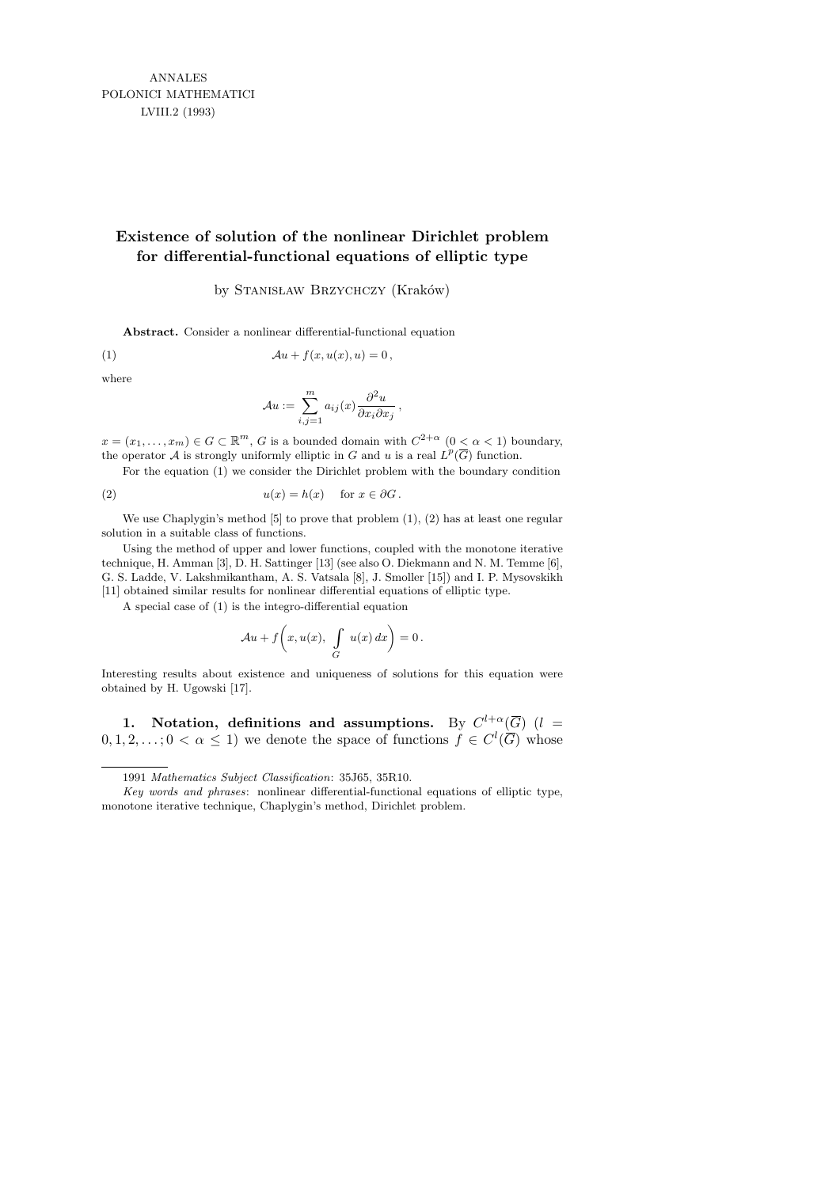ANNALES POLONICI MATHEMATICI LVIII.2 (1993)

# **Existence of solution of the nonlinear Dirichlet problem for differential-functional equations of elliptic type**

## by STANISŁAW BRZYCHCZY (Kraków)

**Abstract.** Consider a nonlinear differential-functional equation

(1) 
$$
\mathcal{A}u + f(x, u(x), u) = 0,
$$

where

$$
\mathcal{A}u := \sum_{i,j=1}^m a_{ij}(x) \frac{\partial^2 u}{\partial x_i \partial x_j},
$$

*i,j*=1

 $x = (x_1, \ldots, x_m) \in G \subset \mathbb{R}^m$ , *G* is a bounded domain with  $C^{2+\alpha}$   $(0 < \alpha < 1)$  boundary, the operator *A* is strongly uniformly elliptic in *G* and *u* is a real  $L^p(\overline{G})$  function.

For the equation (1) we consider the Dirichlet problem with the boundary condition

(2) 
$$
u(x) = h(x) \quad \text{for } x \in \partial G.
$$

We use Chaplygin's method [5] to prove that problem  $(1)$ ,  $(2)$  has at least one regular solution in a suitable class of functions.

Using the method of upper and lower functions, coupled with the monotone iterative technique, H. Amman [3], D. H. Sattinger [13] (see also O. Diekmann and N. M. Temme [6], G. S. Ladde, V. Lakshmikantham, A. S. Vatsala [8], J. Smoller [15]) and I. P. Mysovskikh [11] obtained similar results for nonlinear differential equations of elliptic type.

A special case of (1) is the integro-differential equation

$$
\mathcal{A}u + f\bigg(x, u(x), \int\limits_G u(x) \, dx\bigg) = 0.
$$

Interesting results about existence and uniqueness of solutions for this equation were obtained by H. Ugowski [17].

1. Notation, definitions and assumptions. By  $C^{l+\alpha}(\overline{G})$  (*l* =  $0, 1, 2, \ldots; 0 < \alpha \leq 1$  we denote the space of functions  $f \in C^l(\overline{G})$  whose

<sup>1991</sup> *Mathematics Subject Classification*: 35J65, 35R10.

*Key words and phrases*: nonlinear differential-functional equations of elliptic type, monotone iterative technique, Chaplygin's method, Dirichlet problem.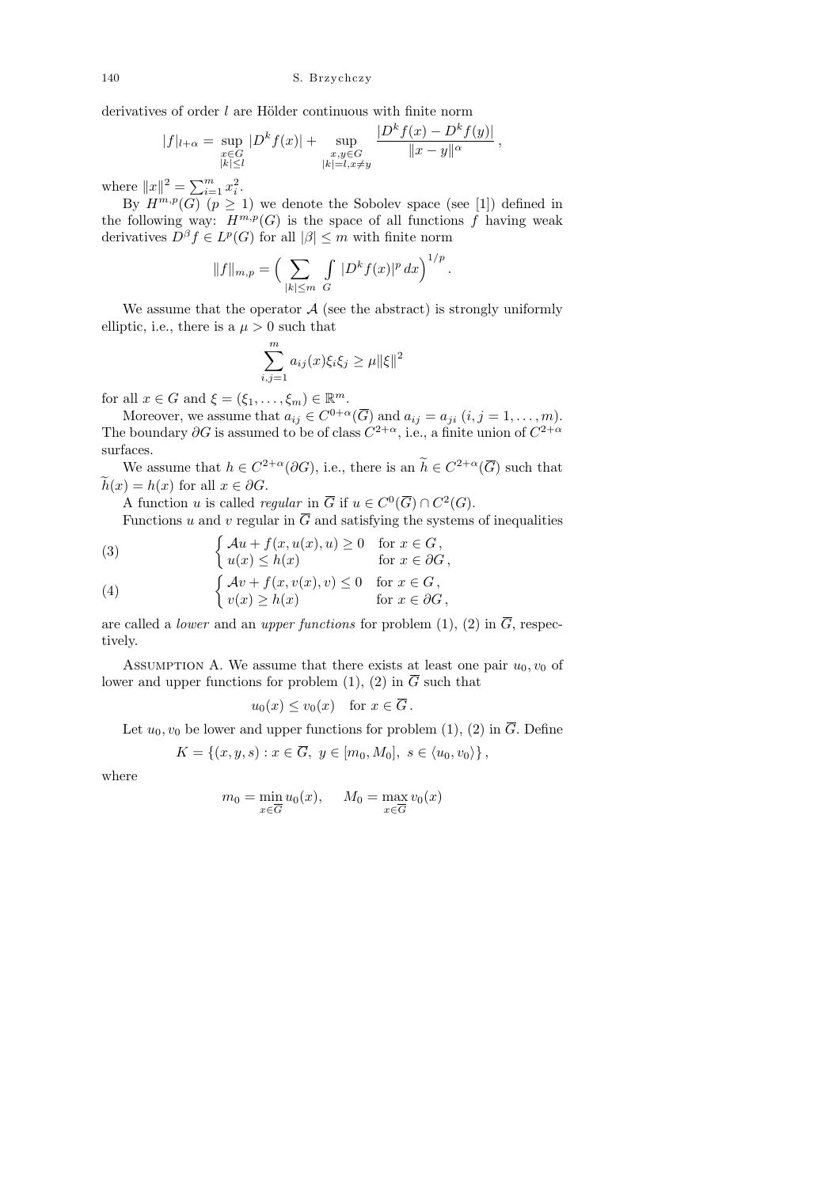derivatives of order  $l$  are Hölder continuous with finite norm

$$
|f|_{l+\alpha} = \sup_{\substack{x \in G \\ |k| \le l}} |D^k f(x)| + \sup_{\substack{x, y \in G \\ |k| = l, x \ne y}} \frac{|D^k f(x) - D^k f(y)|}{\|x - y\|^{\alpha}}
$$

,

.

where  $||x||^2 = \sum_{i=1}^m x_i^2$ .

By  $H^{m,p}(G)$   $(p \geq 1)$  we denote the Sobolev space (see [1]) defined in the following way:  $\overline{H^{m,p}}(G)$  is the space of all functions f having weak derivatives  $D^{\beta} f \in L^p(G)$  for all  $|\beta| \leq m$  with finite norm

$$
||f||_{m,p} = \left(\sum_{|k| \le m} \int_{G} |D^{k} f(x)|^{p} dx\right)^{1/p}
$$

We assume that the operator  $A$  (see the abstract) is strongly uniformly elliptic, i.e., there is a  $\mu > 0$  such that

$$
\sum_{i,j=1}^{m} a_{ij}(x)\xi_i \xi_j \ge \mu ||\xi||^2
$$

for all  $x \in G$  and  $\xi = (\xi_1, \ldots, \xi_m) \in \mathbb{R}^m$ .

Moreover, we assume that  $a_{ij} \in C^{0+\alpha}(\overline{G})$  and  $a_{ij} = a_{ji}$   $(i, j = 1, \ldots, m)$ . The boundary  $\partial G$  is assumed to be of class  $C^{2+\alpha}$ , i.e., a finite union of  $C^{2+\alpha}$ surfaces.

We assume that  $h \in C^{2+\alpha}(\partial G)$ , i.e., there is an  $h \in C^{2+\alpha}(\overline{G})$  such that  $\tilde{h}(x) = h(x)$  for all  $x \in \partial G$ .

A function u is called *regular* in  $\overline{G}$  if  $u \in C^0(\overline{G}) \cap C^2(G)$ .

Functions u and v regular in  $\overline{G}$  and satisfying the systems of inequalities

(3) 
$$
\begin{cases} \mathcal{A}u + f(x, u(x), u) \ge 0 & \text{for } x \in G, \\ u(x) \le h(x) & \text{for } x \in \partial G, \end{cases}
$$

(4) 
$$
\begin{cases} Av + f(x, v(x), v) \le 0 & \text{for } x \in G, \\ v(x) \ge h(x) & \text{for } x \in \partial G, \end{cases}
$$

are called a *lower* and an *upper functions* for problem (1), (2) in  $\overline{G}$ , respectively.

ASSUMPTION A. We assume that there exists at least one pair  $u_0, v_0$  of lower and upper functions for problem (1), (2) in  $\overline{G}$  such that

$$
u_0(x) \le v_0(x)
$$
 for  $x \in \overline{G}$ .

Let  $u_0, v_0$  be lower and upper functions for problem (1), (2) in  $\overline{G}$ . Define

$$
K = \{(x, y, s) : x \in \overline{G}, y \in [m_0, M_0], s \in \langle u_0, v_0 \rangle\},\
$$

where

$$
m_0 = \min_{x \in \overline{G}} u_0(x), \quad M_0 = \max_{x \in \overline{G}} v_0(x)
$$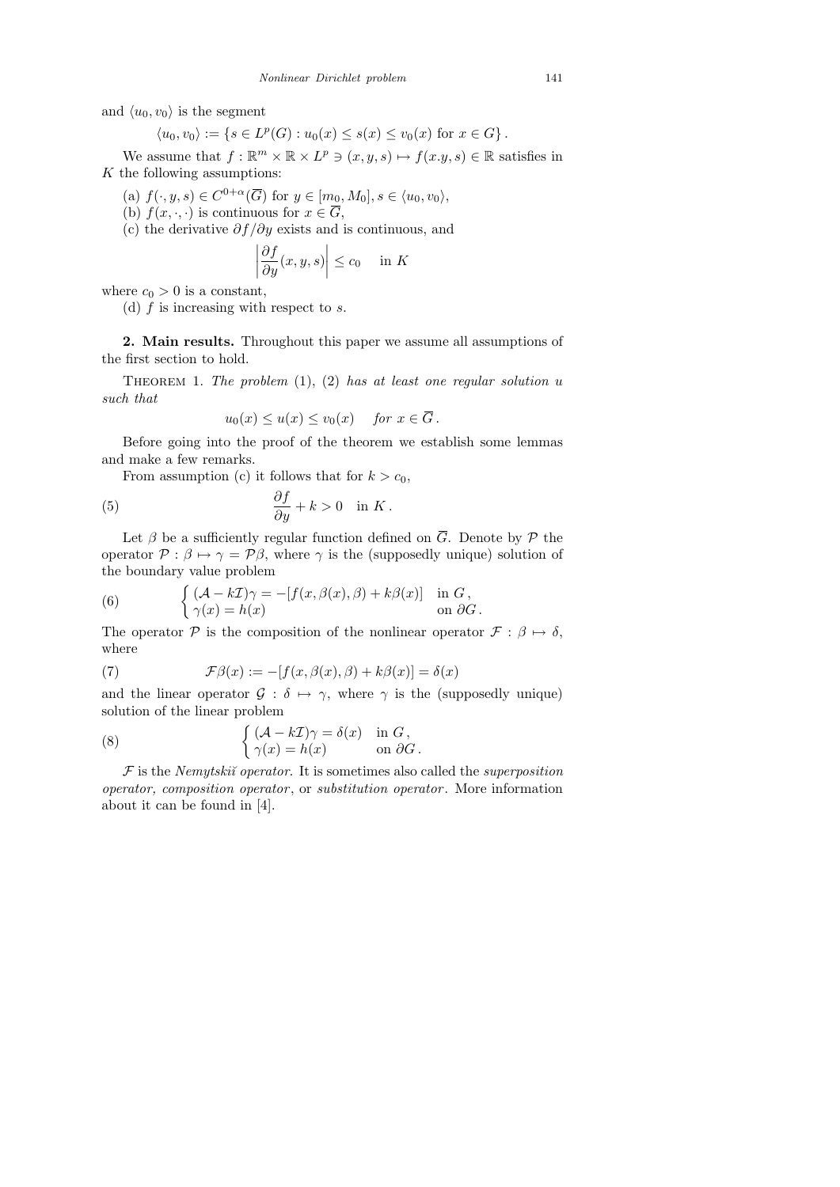and  $\langle u_0, v_0 \rangle$  is the segment

$$
\langle u_0, v_0 \rangle := \{ s \in L^p(G) : u_0(x) \le s(x) \le v_0(x) \text{ for } x \in G \}.
$$

We assume that  $f : \mathbb{R}^m \times \mathbb{R} \times L^p \ni (x, y, s) \mapsto f(x, y, s) \in \mathbb{R}$  satisfies in  $K$  the following assumptions:

(a)  $f(\cdot, y, s) \in C^{0+\alpha}(\overline{G})$  for  $y \in [m_0, M_0], s \in \langle u_0, v_0 \rangle$ ,

(b)  $f(x, \cdot, \cdot)$  is continuous for  $x \in \overline{G}$ ,

(c) the derivative  $\partial f / \partial y$  exists and is continuous, and

$$
\left| \frac{\partial f}{\partial y}(x, y, s) \right| \le c_0 \quad \text{in } K
$$

where  $c_0 > 0$  is a constant,

(d)  $f$  is increasing with respect to  $s$ .

2. Main results. Throughout this paper we assume all assumptions of the first section to hold.

THEOREM 1. The problem  $(1)$ ,  $(2)$  has at least one regular solution u such that

$$
u_0(x) \le u(x) \le v_0(x)
$$
 for  $x \in \overline{G}$ .

Before going into the proof of the theorem we establish some lemmas and make a few remarks.

From assumption (c) it follows that for  $k > c_0$ ,

(5) 
$$
\frac{\partial f}{\partial y} + k > 0 \quad \text{in } K.
$$

Let  $\beta$  be a sufficiently regular function defined on  $\overline{G}$ . Denote by  $\mathcal P$  the operator  $P : \beta \mapsto \gamma = P\beta$ , where  $\gamma$  is the (supposedly unique) solution of the boundary value problem

(6) 
$$
\begin{cases} (\mathcal{A} - k\mathcal{I})\gamma = -[f(x, \beta(x), \beta) + k\beta(x)] & \text{in } G, \\ \gamma(x) = h(x) & \text{on } \partial G. \end{cases}
$$

The operator P is the composition of the nonlinear operator  $\mathcal{F} : \beta \mapsto \delta$ , where

(7) 
$$
\mathcal{F}\beta(x) := -[f(x,\beta(x),\beta) + k\beta(x)] = \delta(x)
$$

and the linear operator  $\mathcal{G} : \delta \mapsto \gamma$ , where  $\gamma$  is the (supposedly unique) solution of the linear problem

(8) 
$$
\begin{cases} (\mathcal{A} - k\mathcal{I})\gamma = \delta(x) & \text{in } G, \\ \gamma(x) = h(x) & \text{on } \partial G. \end{cases}
$$

 $F$  is the Nemytskiı̆ operator. It is sometimes also called the superposition operator, composition operator, or substitution operator. More information about it can be found in [4].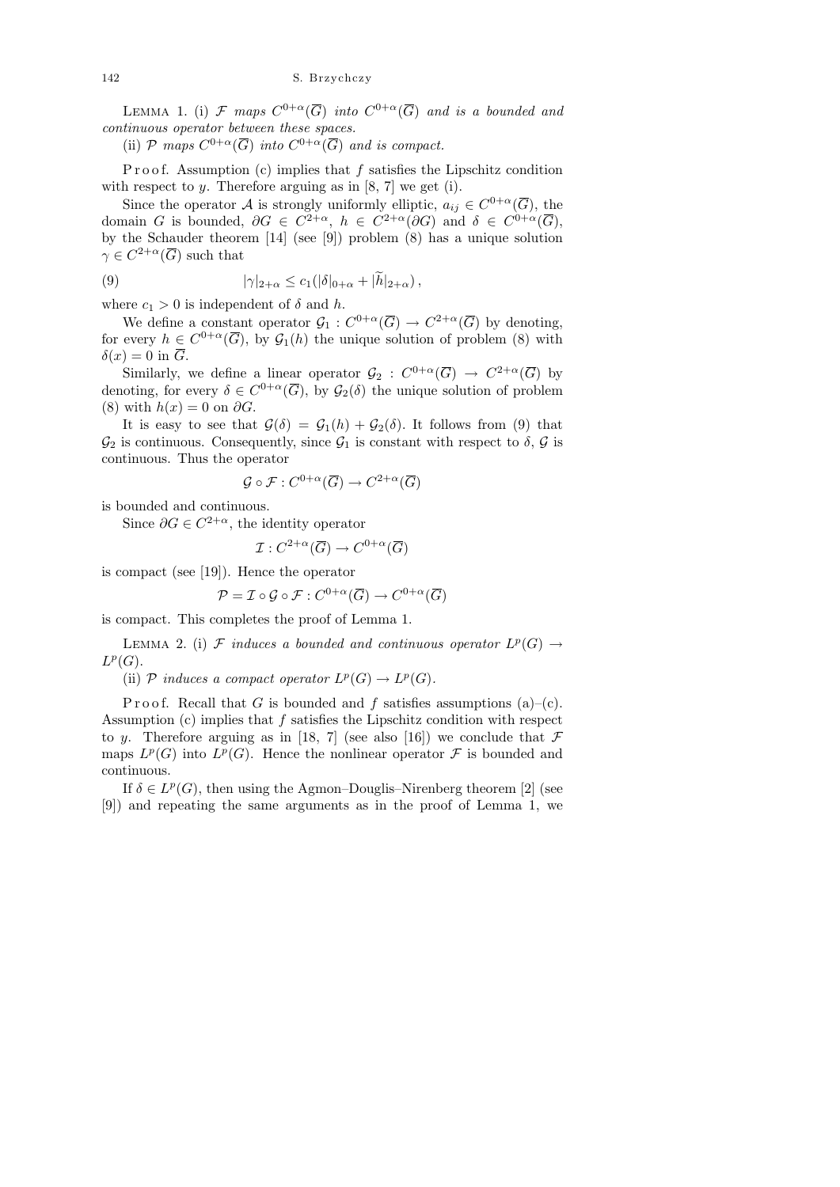LEMMA 1. (i) F maps  $C^{0+\alpha}(\overline{G})$  into  $C^{0+\alpha}(\overline{G})$  and is a bounded and continuous operator between these spaces.

(ii) P maps  $C^{0+\alpha}(\overline{G})$  into  $C^{0+\alpha}(\overline{G})$  and is compact.

P r o o f. Assumption (c) implies that  $f$  satisfies the Lipschitz condition with respect to  $y$ . Therefore arguing as in [8, 7] we get (i).

Since the operator A is strongly uniformly elliptic,  $a_{ij} \in C^{0+\alpha}(\overline{G})$ , the domain G is bounded,  $\partial G \in C^{2+\alpha}$ ,  $h \in C^{2+\alpha}(\partial G)$  and  $\delta \in C^{0+\alpha}(\overline{G}),$ by the Schauder theorem [14] (see [9]) problem (8) has a unique solution  $\gamma \in C^{2+\alpha}(\overline{G})$  such that

(9) 
$$
|\gamma|_{2+\alpha} \leq c_1(|\delta|_{0+\alpha} + |h|_{2+\alpha}),
$$

where  $c_1 > 0$  is independent of  $\delta$  and  $h$ .

We define a constant operator  $\mathcal{G}_1: C^{0+\alpha}(\overline{G}) \to C^{2+\alpha}(\overline{G})$  by denoting, for every  $h \in C^{0+\alpha}(\overline{G})$ , by  $\mathcal{G}_1(h)$  the unique solution of problem (8) with  $\delta(x) = 0$  in  $\overline{G}$ .

Similarly, we define a linear operator  $\mathcal{G}_2$ :  $C^{0+\alpha}(\overline{G}) \to C^{2+\alpha}(\overline{G})$  by denoting, for every  $\delta \in C^{0+\alpha}(\overline{G})$ , by  $\mathcal{G}_2(\delta)$  the unique solution of problem (8) with  $h(x) = 0$  on  $\partial G$ .

It is easy to see that  $\mathcal{G}(\delta) = \mathcal{G}_1(h) + \mathcal{G}_2(\delta)$ . It follows from (9) that  $\mathcal{G}_2$  is continuous. Consequently, since  $\mathcal{G}_1$  is constant with respect to  $\delta$ ,  $\mathcal{G}$  is continuous. Thus the operator

$$
\mathcal{G} \circ \mathcal{F}: C^{0+\alpha}(\overline{G}) \to C^{2+\alpha}(\overline{G})
$$

is bounded and continuous.

Since  $\partial G \in C^{2+\alpha}$ , the identity operator

$$
\mathcal{I}: C^{2+\alpha}(\overline{G}) \to C^{0+\alpha}(\overline{G})
$$

is compact (see [19]). Hence the operator

$$
\mathcal{P} = \mathcal{I} \circ \mathcal{G} \circ \mathcal{F} : C^{0+\alpha}(\overline{G}) \to C^{0+\alpha}(\overline{G})
$$

is compact. This completes the proof of Lemma 1.

LEMMA 2. (i) F induces a bounded and continuous operator  $L^p(G) \to$  $L^p(G)$ .

(ii) P induces a compact operator  $L^p(G) \to L^p(G)$ .

P r o o f. Recall that G is bounded and f satisfies assumptions (a)–(c). Assumption  $(c)$  implies that  $f$  satisfies the Lipschitz condition with respect to y. Therefore arguing as in [18, 7] (see also [16]) we conclude that  $\mathcal F$ maps  $L^p(G)$  into  $L^p(G)$ . Hence the nonlinear operator  $\mathcal F$  is bounded and continuous.

If  $\delta \in L^p(G)$ , then using the Agmon–Douglis–Nirenberg theorem [2] (see [9]) and repeating the same arguments as in the proof of Lemma 1, we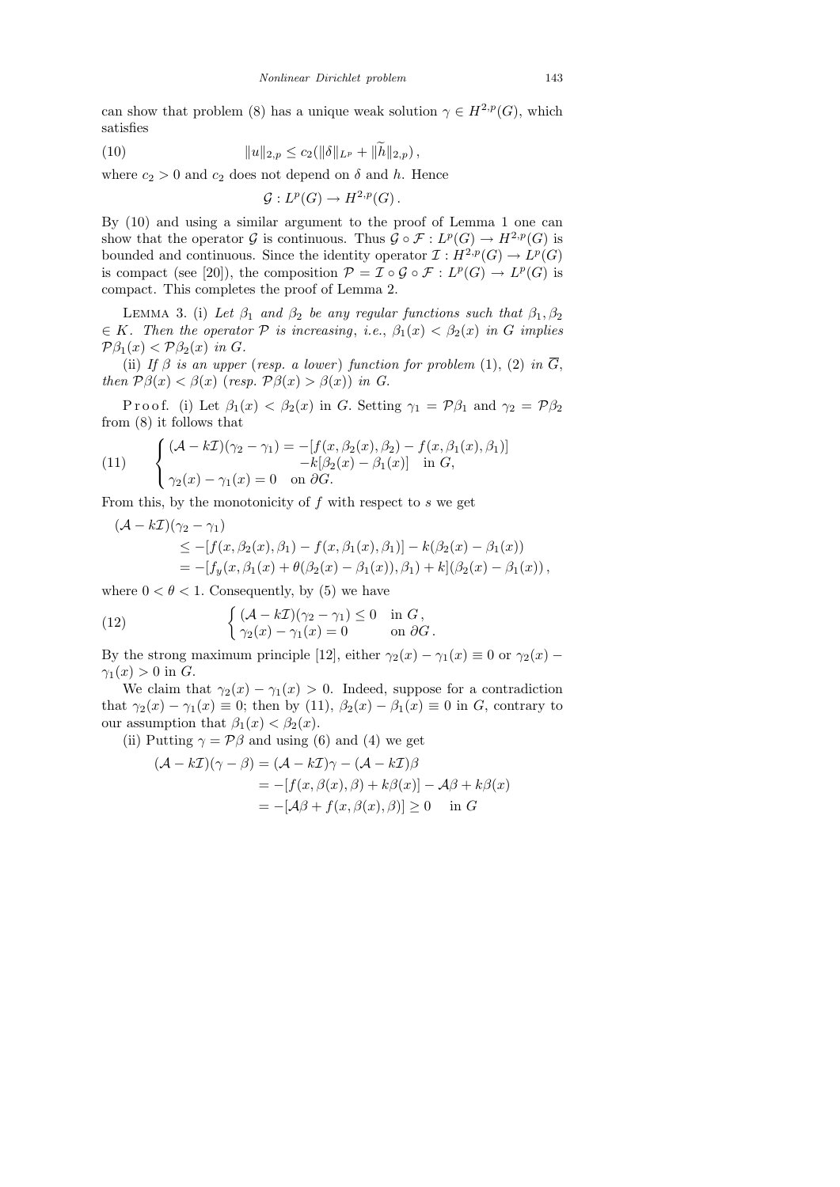can show that problem (8) has a unique weak solution  $\gamma \in H^{2,p}(G)$ , which satisfies

(10) 
$$
||u||_{2,p} \leq c_2(||\delta||_{L^p} + ||h||_{2,p}),
$$

where  $c_2 > 0$  and  $c_2$  does not depend on  $\delta$  and h. Hence

$$
\mathcal{G}: L^p(G) \to H^{2,p}(G).
$$

By (10) and using a similar argument to the proof of Lemma 1 one can show that the operator G is continuous. Thus  $\mathcal{G} \circ \mathcal{F} : L^p(G) \to H^{2,p}(G)$  is bounded and continuous. Since the identity operator  $\mathcal{I}: H^{2,p}(G) \to L^p(G)$ is compact (see [20]), the composition  $\mathcal{P} = \mathcal{I} \circ \mathcal{G} \circ \mathcal{F} : L^p(G) \to L^p(G)$  is compact. This completes the proof of Lemma 2.

LEMMA 3. (i) Let  $\beta_1$  and  $\beta_2$  be any regular functions such that  $\beta_1, \beta_2$  $\in K$ . Then the operator  $P$  is increasing, i.e.,  $\beta_1(x) < \beta_2(x)$  in G implies  $\mathcal{P}\beta_1(x) < \mathcal{P}\beta_2(x)$  in G.

(ii) If  $\beta$  is an upper (resp. a lower) function for problem (1), (2) in  $\overline{G}$ , then  $P\beta(x) < \beta(x)$  (resp.  $P\beta(x) > \beta(x)$ ) in G.

P r o o f. (i) Let  $\beta_1(x) < \beta_2(x)$  in G. Setting  $\gamma_1 = \mathcal{P}\beta_1$  and  $\gamma_2 = \mathcal{P}\beta_2$ from (8) it follows that

(11) 
$$
\begin{cases} (\mathcal{A} - k\mathcal{I})(\gamma_2 - \gamma_1) = -[f(x, \beta_2(x), \beta_2) - f(x, \beta_1(x), \beta_1)] \\ -k[\beta_2(x) - \beta_1(x)] \text{ in } G, \\ \gamma_2(x) - \gamma_1(x) = 0 \text{ on } \partial G. \end{cases}
$$

From this, by the monotonicity of  $f$  with respect to  $s$  we get

$$
(\mathcal{A} - k\mathcal{I})(\gamma_2 - \gamma_1) \leq -[f(x, \beta_2(x), \beta_1) - f(x, \beta_1(x), \beta_1)] - k(\beta_2(x) - \beta_1(x))
$$
  
= -[f\_y(x, \beta\_1(x) + \theta(\beta\_2(x) - \beta\_1(x)), \beta\_1) + k](\beta\_2(x) - \beta\_1(x)),

where  $0 < \theta < 1$ . Consequently, by (5) we have

(12) 
$$
\begin{cases} (\mathcal{A} - k\mathcal{I})(\gamma_2 - \gamma_1) \leq 0 & \text{in } G, \\ \gamma_2(x) - \gamma_1(x) = 0 & \text{on } \partial G. \end{cases}
$$

By the strong maximum principle [12], either  $\gamma_2(x) - \gamma_1(x) \equiv 0$  or  $\gamma_2(x)$  –  $\gamma_1(x) > 0$  in G.

We claim that  $\gamma_2(x) - \gamma_1(x) > 0$ . Indeed, suppose for a contradiction that  $\gamma_2(x) - \gamma_1(x) \equiv 0$ ; then by (11),  $\beta_2(x) - \beta_1(x) \equiv 0$  in G, contrary to our assumption that  $\beta_1(x) < \beta_2(x)$ .

(ii) Putting  $\gamma = \mathcal{P}\beta$  and using (6) and (4) we get

$$
(\mathcal{A} - k\mathcal{I})(\gamma - \beta) = (\mathcal{A} - k\mathcal{I})\gamma - (\mathcal{A} - k\mathcal{I})\beta
$$
  
= -[f(x, \beta(x), \beta) + k\beta(x)] - \mathcal{A}\beta + k\beta(x)  
= -[\mathcal{A}\beta + f(x, \beta(x), \beta)] \ge 0 \text{ in } G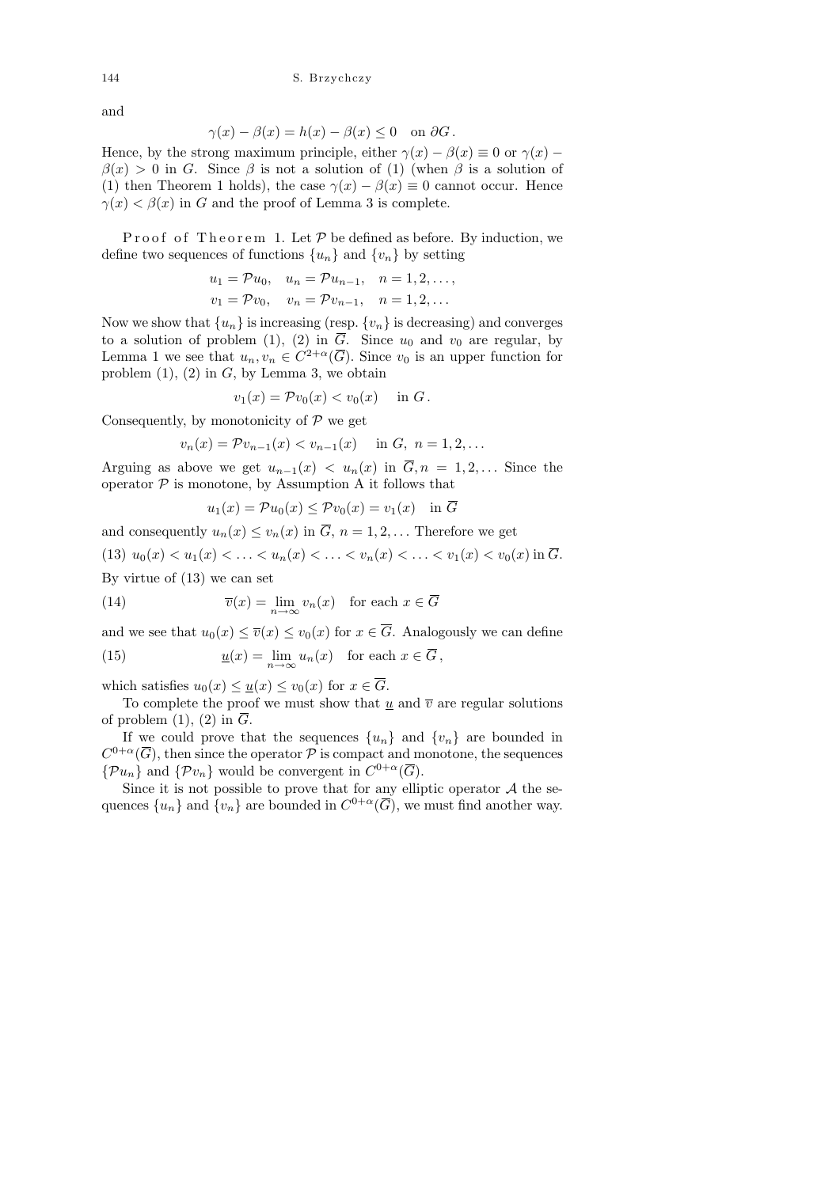### 144 S. Brzychczy

and

$$
\gamma(x) - \beta(x) = h(x) - \beta(x) \le 0 \quad \text{on } \partial G.
$$

Hence, by the strong maximum principle, either  $\gamma(x) - \beta(x) \equiv 0$  or  $\gamma(x) \beta(x) > 0$  in G. Since  $\beta$  is not a solution of (1) (when  $\beta$  is a solution of (1) then Theorem 1 holds), the case  $\gamma(x) - \beta(x) \equiv 0$  cannot occur. Hence  $\gamma(x) < \beta(x)$  in G and the proof of Lemma 3 is complete.

Proof of Theorem 1. Let  $P$  be defined as before. By induction, we define two sequences of functions  $\{u_n\}$  and  $\{v_n\}$  by setting

$$
u_1 = \mathcal{P}u_0
$$
,  $u_n = \mathcal{P}u_{n-1}$ ,  $n = 1, 2, ...$ ,  
 $v_1 = \mathcal{P}v_0$ ,  $v_n = \mathcal{P}v_{n-1}$ ,  $n = 1, 2, ...$ 

Now we show that  $\{u_n\}$  is increasing (resp.  $\{v_n\}$ ) is decreasing) and converges to a solution of problem (1), (2) in  $\overline{G}$ . Since  $u_0$  and  $v_0$  are regular, by Lemma 1 we see that  $u_n, v_n \in C^{2+\alpha}(\overline{G})$ . Since  $v_0$  is an upper function for problem  $(1)$ ,  $(2)$  in  $G$ , by Lemma 3, we obtain

$$
v_1(x) = \mathcal{P}v_0(x) < v_0(x) \quad \text{in } G.
$$

Consequently, by monotonicity of  $\mathcal P$  we get

$$
v_n(x) = \mathcal{P}v_{n-1}(x) < v_{n-1}(x) \quad \text{in } G, \ n = 1, 2, \dots
$$

Arguing as above we get  $u_{n-1}(x) < u_n(x)$  in  $\overline{G}, n = 1, 2, \ldots$  Since the operator  $P$  is monotone, by Assumption A it follows that

$$
u_1(x) = \mathcal{P}u_0(x) \le \mathcal{P}v_0(x) = v_1(x) \quad \text{in } \overline{G}
$$

and consequently  $u_n(x) \le v_n(x)$  in  $\overline{G}$ ,  $n = 1, 2, \ldots$  Therefore we get (13)  $u_0(x) < u_1(x) < \ldots < u_n(x) < \ldots < v_n(x) < \ldots < v_1(x) < v_0(x)$  in  $\overline{G}$ . By virtue of (13) we can set

(14) 
$$
\overline{v}(x) = \lim_{n \to \infty} v_n(x) \text{ for each } x \in \overline{G}
$$

and we see that  $u_0(x) \leq \overline{v}(x) \leq v_0(x)$  for  $x \in \overline{G}$ . Analogously we can define (15)  $u(x) = \lim_{n \to \infty} u_n(x)$  for each  $x \in \overline{G}$ ,

which satisfies  $u_0(x) \leq \underline{u}(x) \leq v_0(x)$  for  $x \in \overline{G}$ .

To complete the proof we must show that u and  $\overline{v}$  are regular solutions of problem (1), (2) in  $\overline{G}$ .

If we could prove that the sequences  $\{u_n\}$  and  $\{v_n\}$  are bounded in  $C^{0+\alpha}(\overline{G})$ , then since the operator  $\mathcal P$  is compact and monotone, the sequences  $\{\mathcal{P}u_n\}$  and  $\{\mathcal{P}v_n\}$  would be convergent in  $C^{0+\alpha}(\overline{G})$ .

Since it is not possible to prove that for any elliptic operator  $A$  the sequences  $\{u_n\}$  and  $\{v_n\}$  are bounded in  $C^{0+\alpha}(\overline{G})$ , we must find another way.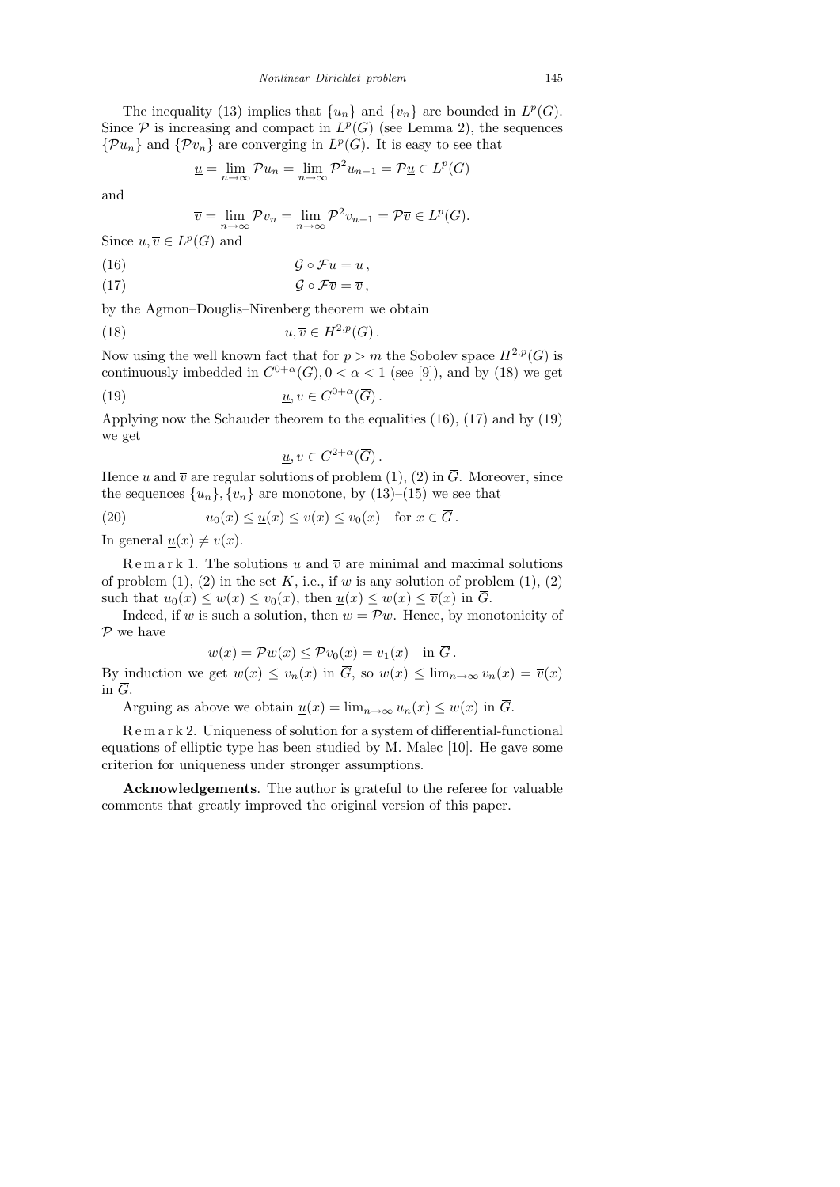The inequality (13) implies that  $\{u_n\}$  and  $\{v_n\}$  are bounded in  $L^p(G)$ . Since  $P$  is increasing and compact in  $L^p(G)$  (see Lemma 2), the sequences  $\{\mathcal{P}u_n\}$  and  $\{\mathcal{P}v_n\}$  are converging in  $L^p(G)$ . It is easy to see that

$$
\underline{u} = \lim_{n \to \infty} \mathcal{P}u_n = \lim_{n \to \infty} \mathcal{P}^2 u_{n-1} = \mathcal{P}\underline{u} \in L^p(G)
$$

and

$$
\overline{v} = \lim_{n \to \infty} \mathcal{P}v_n = \lim_{n \to \infty} \mathcal{P}^2 v_{n-1} = \mathcal{P}\overline{v} \in L^p(G).
$$

Since  $\underline{u}, \overline{v} \in L^p(G)$  and

(16) G ◦ Fu = u ,

(17) G ◦ Fv = v ,

by the Agmon–Douglis–Nirenberg theorem we obtain

(18) 
$$
\underline{u}, \overline{v} \in H^{2,p}(G).
$$

Now using the well known fact that for  $p > m$  the Sobolev space  $H^{2,p}(G)$  is continuously imbedded in  $C^{0+\alpha}(\overline{G}), 0 < \alpha < 1$  (see [9]), and by (18) we get

(19) 
$$
\underline{u}, \overline{v} \in C^{0+\alpha}(\overline{G}).
$$

Applying now the Schauder theorem to the equalities (16), (17) and by (19) we get

$$
\underline{u}, \overline{v} \in C^{2+\alpha}(\overline{G})\,.
$$

Hence  $\underline{u}$  and  $\overline{v}$  are regular solutions of problem (1), (2) in  $\overline{G}$ . Moreover, since the sequences  $\{u_n\}, \{v_n\}$  are monotone, by (13)–(15) we see that

(20) 
$$
u_0(x) \le u(x) \le \overline{v}(x) \le v_0(x)
$$
 for  $x \in \overline{G}$ .  
In general  $\psi(x) \neq \overline{\psi}(x)$ 

In general  $\underline{u}(x) \neq \overline{v}(x)$ .

Remark 1. The solutions  $\underline{u}$  and  $\overline{v}$  are minimal and maximal solutions of problem  $(1)$ ,  $(2)$  in the set K, i.e., if w is any solution of problem  $(1)$ ,  $(2)$ such that  $u_0(x) \leq w(x) \leq v_0(x)$ , then  $\underline{u}(x) \leq w(x) \leq \overline{v}(x)$  in  $\overline{G}$ .

Indeed, if w is such a solution, then  $w = \mathcal{P}w$ . Hence, by monotonicity of  ${\mathcal P}$  we have

$$
w(x) = \mathcal{P}w(x) \le \mathcal{P}v_0(x) = v_1(x) \text{ in } \overline{G}.
$$

By induction we get  $w(x) \le v_n(x)$  in  $\overline{G}$ , so  $w(x) \le \lim_{n\to\infty} v_n(x) = \overline{v}(x)$ in  $\overline{G}$ .

Arguing as above we obtain  $\underline{u}(x) = \lim_{n \to \infty} u_n(x) \leq w(x)$  in  $\overline{G}$ .

R e m a r k 2. Uniqueness of solution for a system of differential-functional equations of elliptic type has been studied by M. Malec [10]. He gave some criterion for uniqueness under stronger assumptions.

Acknowledgements. The author is grateful to the referee for valuable comments that greatly improved the original version of this paper.